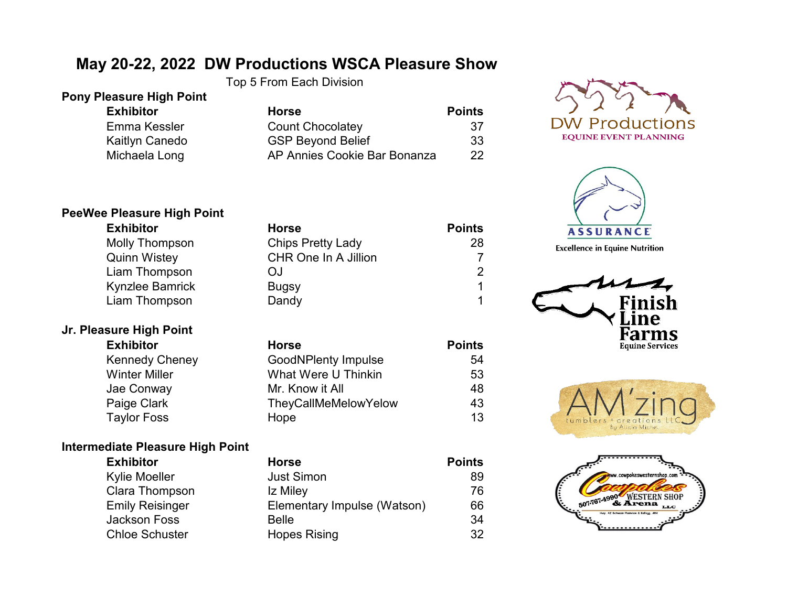# **May 20-22, 2022 DW Productions WSCA Pleasure Show**

Top 5 From Each Division

#### **Pony Pleasure High Point**

 $Exhibitor$ Emma Kessler Kaitlyn Canedo Michaela Long

| <b>Horse</b>                 | <b>Points</b> |
|------------------------------|---------------|
| <b>Count Chocolatey</b>      | 37            |
| <b>GSP Beyond Belief</b>     | 33            |
| AP Annies Cookie Bar Bonanza | 22            |





**Excellence in Equine Nutrition** 







# **PeeWee Pleasure High Point**

| <b>Exhibitor</b>       | <b>Horse</b>             | <b>Points</b> |
|------------------------|--------------------------|---------------|
| <b>Molly Thompson</b>  | <b>Chips Pretty Lady</b> | 28            |
| <b>Quinn Wistey</b>    | CHR One In A Jillion     |               |
| Liam Thompson          | ΟJ                       |               |
| <b>Kynzlee Bamrick</b> | <b>Bugsy</b>             |               |
| Liam Thompson          | Dandy                    |               |

# **Jr. Pleasure High Point**

| <b>Exhibitor</b>      | <b>Horse</b>                | <b>Points</b> |
|-----------------------|-----------------------------|---------------|
| <b>Kennedy Cheney</b> | <b>GoodNPlenty Impulse</b>  | 54            |
| <b>Winter Miller</b>  | What Were U Thinkin         | 53            |
| Jae Conway            | Mr. Know it All             | 48            |
| Paige Clark           | <b>TheyCallMeMelowYelow</b> | 43            |
| <b>Taylor Foss</b>    | Hope                        | 13            |

## **Intermediate Pleasure High Point**

| <b>Exhibitor</b>       | <b>Horse</b>                | <b>Points</b> |
|------------------------|-----------------------------|---------------|
| Kylie Moeller          | <b>Just Simon</b>           | 89            |
| Clara Thompson         | Iz Miley                    | 76            |
| <b>Emily Reisinger</b> | Elementary Impulse (Watson) | 66            |
| Jackson Foss           | <b>Belle</b>                | 34            |
| <b>Chloe Schuster</b>  | <b>Hopes Rising</b>         | 32            |
|                        |                             |               |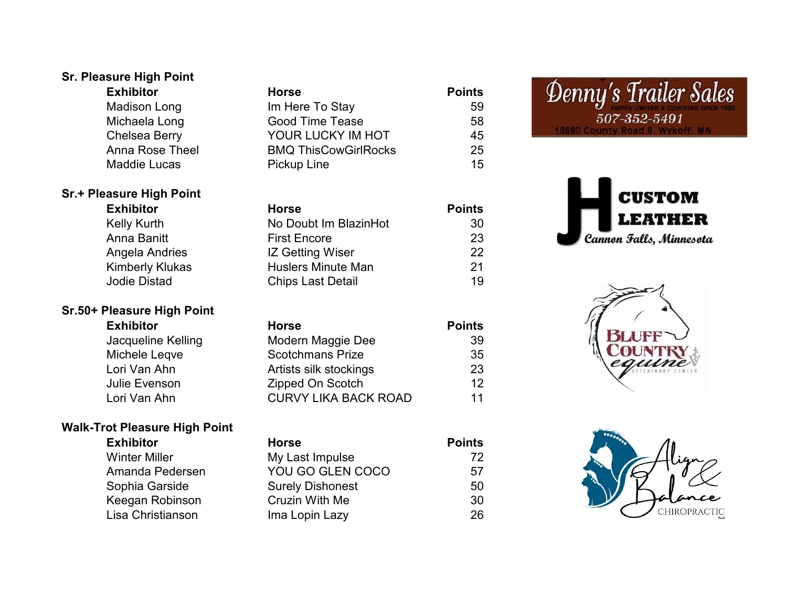## **Sr. Pleasure High Point Exhibitor Horse Points**

Madison Long Im Here To Stay 59 Michaela Long Good Time Tease 58 Chelsea Berry **YOUR LUCKY IM HOT** 45 Anna Rose Theel BMQ ThisCowGirlRocks 25 Maddie Lucas **Pickup Line Pickup Line** 15

#### **Sr.+ Pleasure High Point**

**Sr.50+ Pleasure High Point**

| <b>Exhibitor</b>       | <b>Horse</b>              | <b>Points</b> |
|------------------------|---------------------------|---------------|
| <b>Kelly Kurth</b>     | No Doubt Im BlazinHot     | 30            |
| Anna Banitt            | <b>First Encore</b>       | 23            |
| Angela Andries         | <b>IZ Getting Wiser</b>   | 22            |
| <b>Kimberly Klukas</b> | <b>Huslers Minute Man</b> | 21            |
| <b>Jodie Distad</b>    | <b>Chips Last Detail</b>  | 19            |

## **Exhibitor Horse Points** Jacqueline Kelling Modern Maggie Dee 39 Michele Leqve **Scotchmans Prize** 35 Lori Van Ahn **Artists silk stockings** 23 Julie Evenson Zipped On Scotch 12 Lori Van Ahn CURVY LIKA BACK ROAD 11

#### **Walk-Trot Pleasure High Point Exhibitor Horse Points** Winter Miller **My Last Impulse** 72 Amanda Pedersen YOU GO GLEN COCO 57 Sophia Garside **Surely Dishonest** 50 Keegan Robinson Cruzin With Me 30 Lisa Christianson Ima Lopin Lazy 26

# Denny's Trailer Sales 507-352-5491 **8880 County**